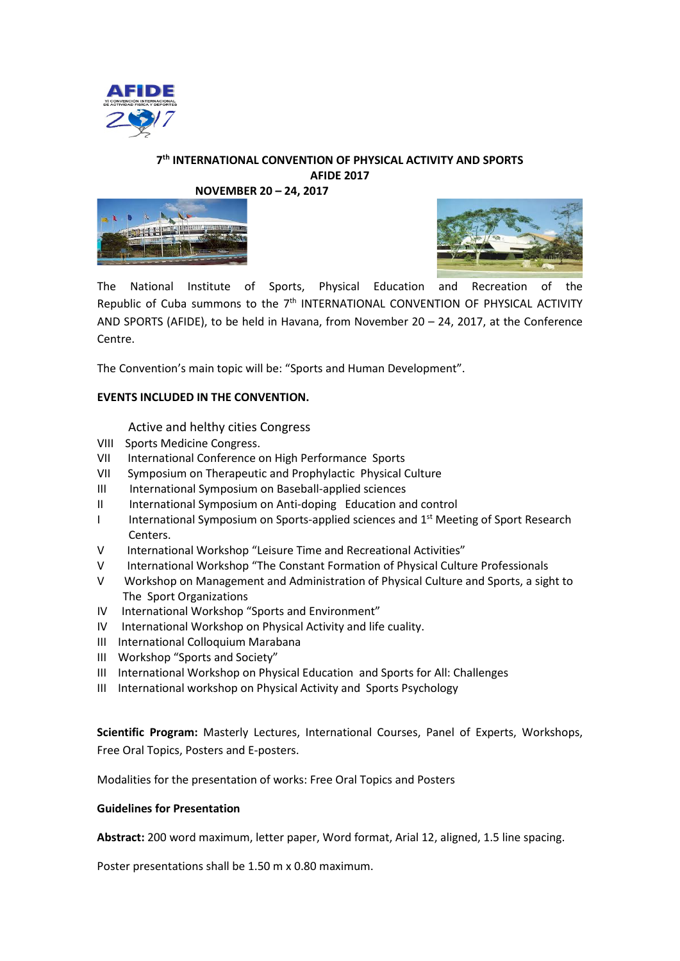

# **7th INTERNATIONAL CONVENTION OF PHYSICAL ACTIVITY AND SPORTS AFIDE 2017**

**NOVEMBER 20 – 24, 2017**





The National Institute of Sports, Physical Education and Recreation of the Republic of Cuba summons to the  $7<sup>th</sup>$  INTERNATIONAL CONVENTION OF PHYSICAL ACTIVITY AND SPORTS (AFIDE), to be held in Havana, from November 20 – 24, 2017, at the Conference Centre.

The Convention's main topic will be: "Sports and Human Development".

### **EVENTS INCLUDED IN THE CONVENTION.**

Active and helthy cities Congress

- VIII Sports Medicine Congress.
- VII International Conference on High Performance Sports
- VII Symposium on Therapeutic and Prophylactic Physical Culture
- III International Symposium on Baseball-applied sciences
- II International Symposium on Anti-doping Education and control
- I International Symposium on Sports-applied sciences and 1<sup>st</sup> Meeting of Sport Research Centers.
- V International Workshop "Leisure Time and Recreational Activities"
- V International Workshop "The Constant Formation of Physical Culture Professionals
- V Workshop on Management and Administration of Physical Culture and Sports, a sight to The Sport Organizations
- IV International Workshop "Sports and Environment"
- IV International Workshop on Physical Activity and life cuality.
- III International Colloquium Marabana
- III Workshop "Sports and Society"
- III International Workshop on Physical Education and Sports for All: Challenges
- III International workshop on Physical Activity and Sports Psychology

**Scientific Program:** Masterly Lectures, International Courses, Panel of Experts, Workshops, Free Oral Topics, Posters and E-posters.

Modalities for the presentation of works: Free Oral Topics and Posters

#### **Guidelines for Presentation**

**Abstract:** 200 word maximum, letter paper, Word format, Arial 12, aligned, 1.5 line spacing.

Poster presentations shall be 1.50 m x 0.80 maximum.